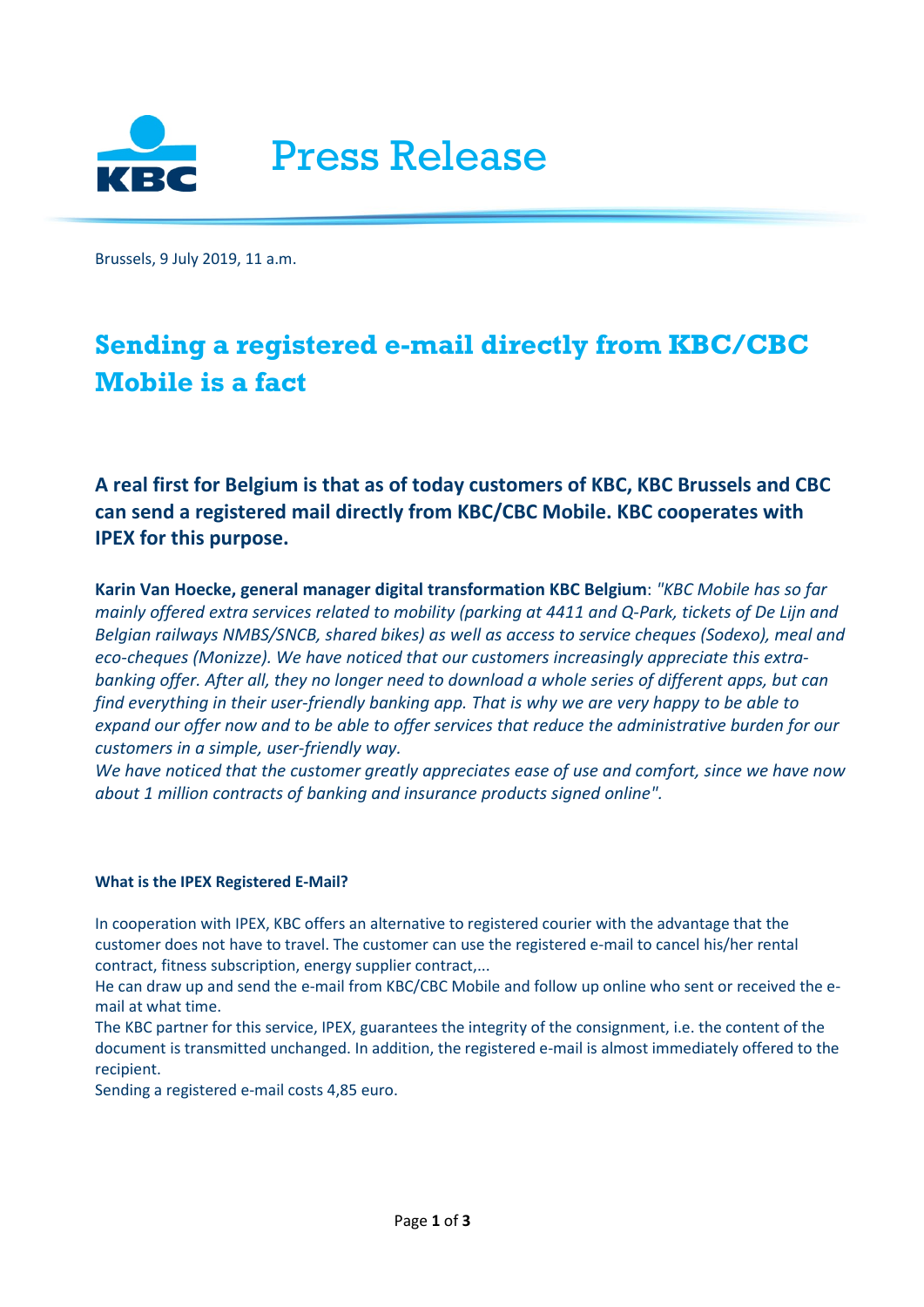

Brussels, 9 July 2019, 11 a.m.

## **Sending a registered e-mail directly from KBC/CBC Mobile is a fact**

**A real first for Belgium is that as of today customers of KBC, KBC Brussels and CBC can send a registered mail directly from KBC/CBC Mobile. KBC cooperates with IPEX for this purpose.**

**Karin Van Hoecke, general manager digital transformation KBC Belgium**: *"KBC Mobile has so far mainly offered extra services related to mobility (parking at 4411 and Q-Park, tickets of De Lijn and Belgian railways NMBS/SNCB, shared bikes) as well as access to service cheques (Sodexo), meal and eco-cheques (Monizze). We have noticed that our customers increasingly appreciate this extrabanking offer. After all, they no longer need to download a whole series of different apps, but can find everything in their user-friendly banking app. That is why we are very happy to be able to expand our offer now and to be able to offer services that reduce the administrative burden for our customers in a simple, user-friendly way.*

*We have noticed that the customer greatly appreciates ease of use and comfort, since we have now about 1 million contracts of banking and insurance products signed online".*

## **What is the IPEX Registered E-Mail?**

In cooperation with IPEX, KBC offers an alternative to registered courier with the advantage that the customer does not have to travel. The customer can use the registered e-mail to cancel his/her rental contract, fitness subscription, energy supplier contract,...

He can draw up and send the e-mail from KBC/CBC Mobile and follow up online who sent or received the email at what time.

The KBC partner for this service, IPEX, guarantees the integrity of the consignment, i.e. the content of the document is transmitted unchanged. In addition, the registered e-mail is almost immediately offered to the recipient.

Sending a registered e-mail costs 4,85 euro.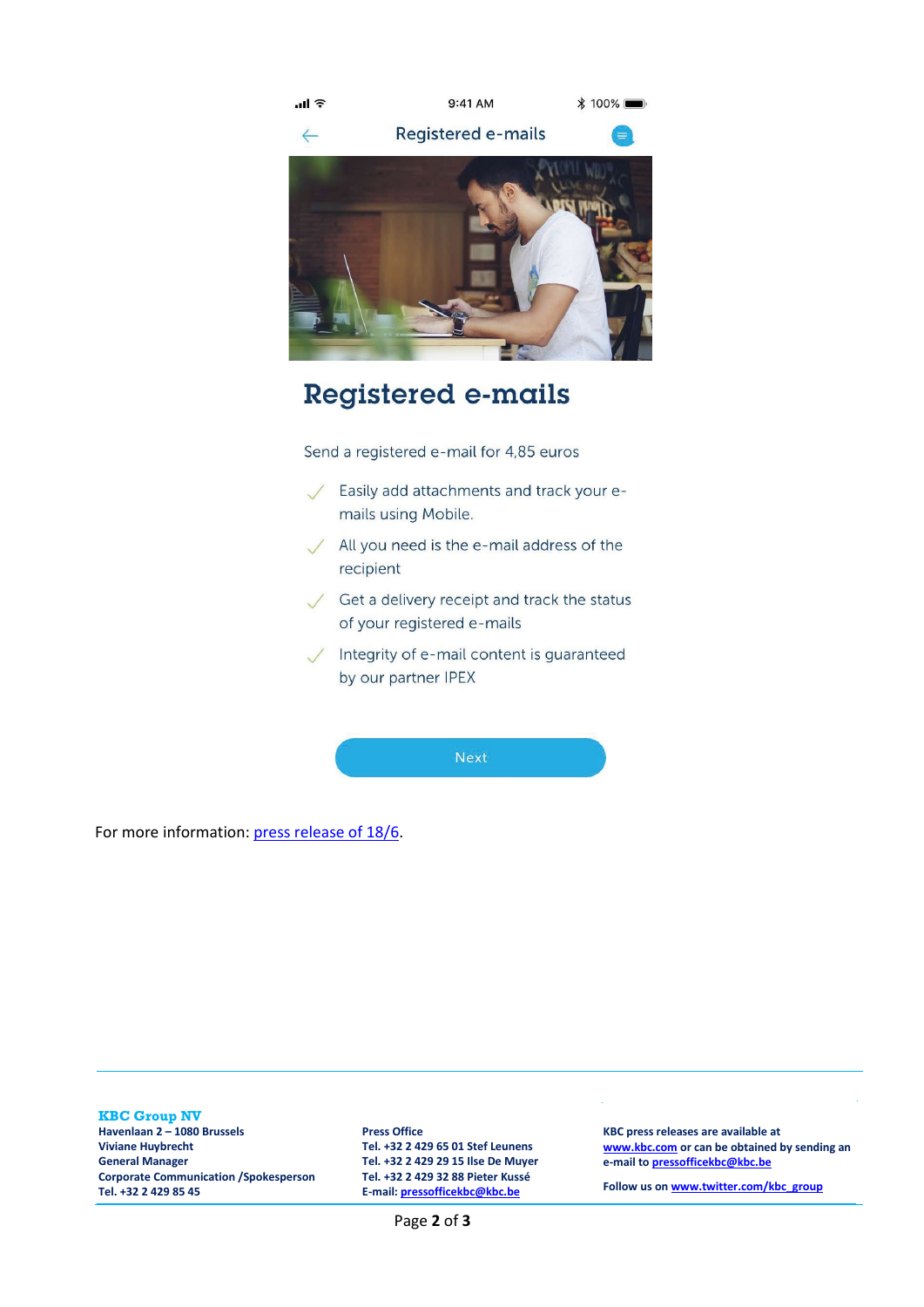

## **Registered e-mails**

Send a registered e-mail for 4,85 euros

- Easily add attachments and track your emails using Mobile.
- All you need is the e-mail address of the  $\sqrt{}$ recipient
- Get a delivery receipt and track the status of your registered e-mails
- Integrity of e-mail content is guaranteed by our partner IPEX

**Next** 

For more information: [press release of 18/6.](https://newsroom.kbc.com/soon-kbccbc-mobile)

**KBC Group NV Havenlaan 2 – 1080 Brussels Viviane Huybrecht General Manager Corporate Communication /Spokesperson Tel. +32 2 429 85 45**

**Press Office Tel. +32 2 429 65 01 Stef Leunens Tel. +32 2 429 29 15 Ilse De Muyer Tel. +32 2 429 32 88 Pieter Kussé E-mail: [pressofficekbc@kbc.be](mailto:pressofficekbc@kbc.be)**

**[www.kbc.com](http://www.kbc.com/) or can be obtained by sending an e-mail t[o pressofficekbc@kbc.be](mailto:pressofficekbc@kbc.be)**

**KBC press releases are available at** 

**Follow us o[n www.twitter.com/kbc\\_group](http://www.twitter.com/kbc_group)**